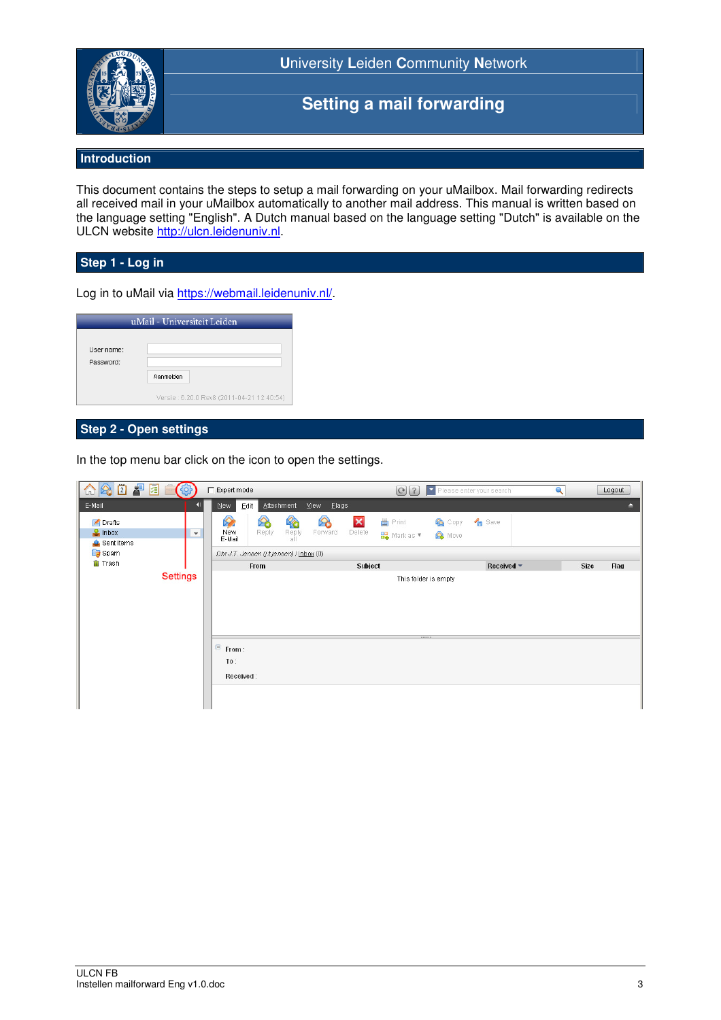

**U**niversity **L**eiden **C**ommunity **N**etwork

# **Setting a mail forwarding**

## **Introduction**

This document contains the steps to setup a mail forwarding on your uMailbox. Mail forwarding redirects all received mail in your uMailbox automatically to another mail address. This manual is written based on the language setting "English". A Dutch manual based on the language setting "Dutch" is available on the ULCN website http://ulcn.leidenuniv.nl.

#### **Step 1 - Log in**

Log in to uMail via https://webmail.leidenuniv.nl/.

| User name: |                                           |
|------------|-------------------------------------------|
| Password:  |                                           |
|            | Aanmelden                                 |
|            | Versie: 6.20.0 Rev8 (2011-04-21 12:40:54) |

# **Step 2 - Open settings**

In the top menu bar click on the icon to open the settings.

| 介色口早日白色                                            |                                          | Expert mode                                                              |                                                  | <b>O 2</b> Please enter your search                    |                | $\mathbf{Q}$<br>Logout |  |
|----------------------------------------------------|------------------------------------------|--------------------------------------------------------------------------|--------------------------------------------------|--------------------------------------------------------|----------------|------------------------|--|
| E-Mail:                                            | <b>II</b>                                | <b>Attachment</b><br>New<br>$E$ dit                                      | View<br>Elags                                    |                                                        |                | A                      |  |
| $\leq$ Drafts<br>$\frac{1}{2}$ inbox<br>Sent Items | $\mathbf{v}$                             | <b>RO</b><br>$\bigotimes$<br>2<br>Reply<br>Reply<br>New<br>E-Mail<br>all | $\bullet$<br>$\pmb{\times}$<br>Delete<br>Forward | <b>曲</b> Print<br>Copy<br><b>H</b> a Mark as ▼<br>Move | <b>Pa</b> Save |                        |  |
| Spam                                               | Dhr J.T. Jansen (j.t.jansen) / Inbox (0) |                                                                          |                                                  |                                                        |                |                        |  |
| <b>Trash</b>                                       |                                          | From                                                                     | Subject                                          |                                                        | Received ~     | Size<br>Flag           |  |
| <b>Settings</b>                                    |                                          | This folder is empty                                                     |                                                  |                                                        |                |                        |  |
|                                                    |                                          | $\in$ From:<br>To:<br>Received:                                          |                                                  |                                                        |                |                        |  |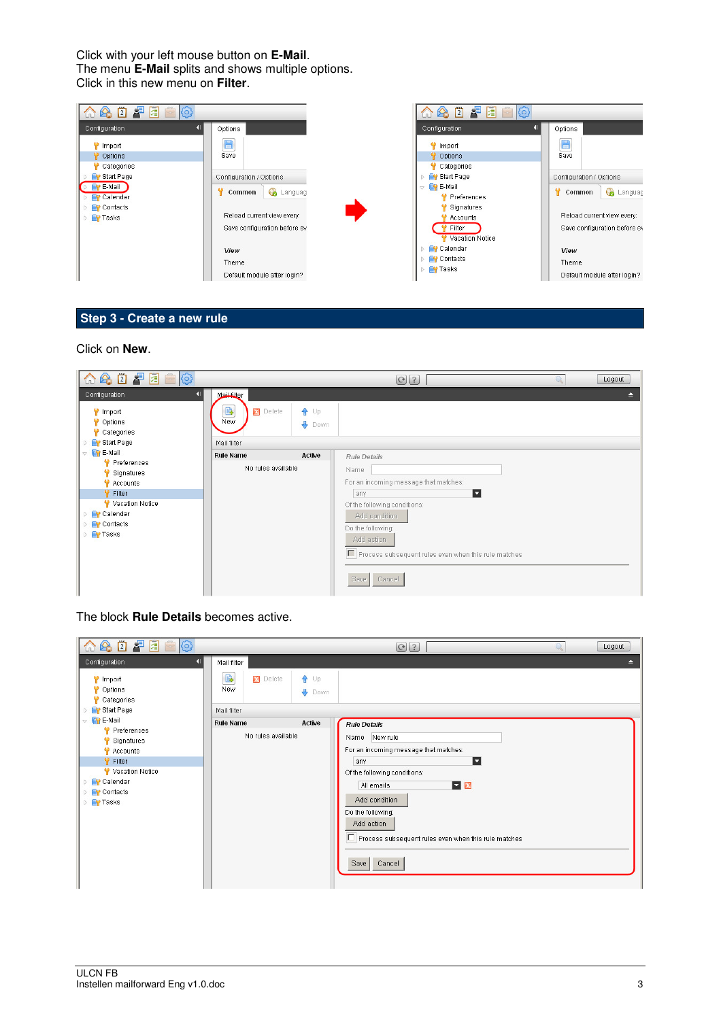Click with your left mouse button on **E-Mail**. The menu **E-Mail** splits and shows multiple options. Click in this new menu on **Filter**.



## **Step 3 - Create a new rule**

#### Click on **New**.



The block **Rule Details** becomes active.

| 会团早团自命<br>m                                                                                                                                  |                                                | $ Q $ ?                                                                                                                                                                                                                                                                     | Logout |  |  |  |  |
|----------------------------------------------------------------------------------------------------------------------------------------------|------------------------------------------------|-----------------------------------------------------------------------------------------------------------------------------------------------------------------------------------------------------------------------------------------------------------------------------|--------|--|--|--|--|
| Configuration                                                                                                                                | Mail filter                                    |                                                                                                                                                                                                                                                                             | ≘      |  |  |  |  |
| Import<br>Options<br>Categories                                                                                                              | B.<br><b>X</b> Delete<br>$\bigoplus$ Up<br>New | Down                                                                                                                                                                                                                                                                        |        |  |  |  |  |
| Start Page                                                                                                                                   | Mail filter                                    |                                                                                                                                                                                                                                                                             |        |  |  |  |  |
| $\triangledown$ <b>CP</b> E-Mail                                                                                                             | Active<br><b>Rule Name</b>                     | <b>Rule Details</b>                                                                                                                                                                                                                                                         |        |  |  |  |  |
| Preferences<br>Signatures<br><b>Accounts</b><br><sup>₩</sup> Filter<br>Vacation Notice<br><b>Calendar</b><br><b>Contacts</b><br><b>Tasks</b> | No rules available                             | Name New rule<br>For an incoming message that matches:<br>Ы<br>any<br>Of the following conditions:<br>$\mathbf{v}$ $\mathbf{x}$<br>All emails<br>Add condition<br>Do the following:<br>Add action<br>Process subsequent rules even when this rule matches<br>Cancel<br>Save |        |  |  |  |  |